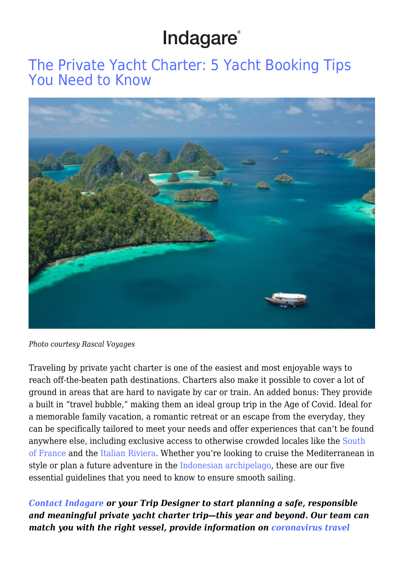# Indagare®

### [The Private Yacht Charter: 5 Yacht Booking Tips](https://www.indagare.com/destinations/world/articles/private-yacht-charter-booking-tips/) [You Need to Know](https://www.indagare.com/destinations/world/articles/private-yacht-charter-booking-tips/)



*Photo courtesy Rascal Voyages*

Traveling by private yacht charter is one of the easiest and most enjoyable ways to reach off-the-beaten path destinations. Charters also make it possible to cover a lot of ground in areas that are hard to navigate by car or train. An added bonus: They provide a built in "travel bubble," making them an ideal group trip in the Age of Covid. Ideal for a memorable family vacation, a romantic retreat or an escape from the everyday, they can be specifically tailored to meet your needs and offer experiences that can't be found anywhere else, including exclusive access to otherwise crowded locales like the [South](https://www.indagare.com/destination/europe/france/french-riviera/) [of France](https://www.indagare.com/destination/europe/france/french-riviera/) and the [Italian Riviera.](https://www.indagare.com/destinations/europe/italy/articles/indagare-matchmaker-italian-beach-destinations) Whether you're looking to cruise the Mediterranean in style or plan a future adventure in the [Indonesian archipelago,](https://www.indagare.com/destination/asia/indonesia/) these are our five essential guidelines that you need to know to ensure smooth sailing.

*[Contact Indagare](https://www.indagare.com/contact) or your Trip Designer to start planning a safe, responsible and meaningful private yacht charter trip—this year and beyond. Our team can match you with the right vessel, provide information on [coronavirus travel](https://www.indagare.com/destinations/world/articles/the-indagare-guide-to-travel-during-covid)*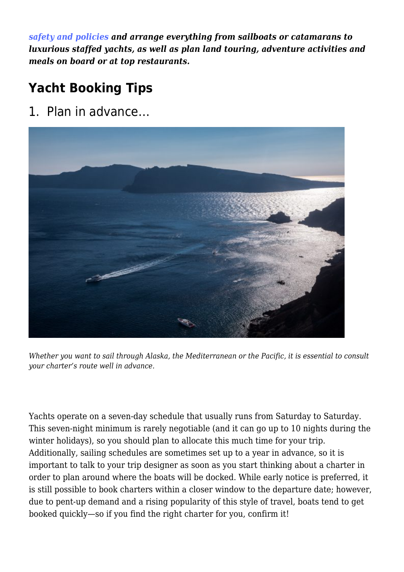*[safety and policies](https://www.indagare.com/destinations/world/articles/the-indagare-guide-to-travel-during-covid) and arrange everything from sailboats or catamarans to luxurious staffed yachts, as well as plan land touring, adventure activities and meals on board or at top restaurants.*

### **Yacht Booking Tips**

1. Plan in advance…



*Whether you want to sail through Alaska, the Mediterranean or the Pacific, it is essential to consult your charter's route well in advance.*

Yachts operate on a seven-day schedule that usually runs from Saturday to Saturday. This seven-night minimum is rarely negotiable (and it can go up to 10 nights during the winter holidays), so you should plan to allocate this much time for your trip. Additionally, sailing schedules are sometimes set up to a year in advance, so it is important to talk to your trip designer as soon as you start thinking about a charter in order to plan around where the boats will be docked. While early notice is preferred, it is still possible to book charters within a closer window to the departure date; however, due to pent-up demand and a rising popularity of this style of travel, boats tend to get booked quickly—so if you find the right charter for you, confirm it!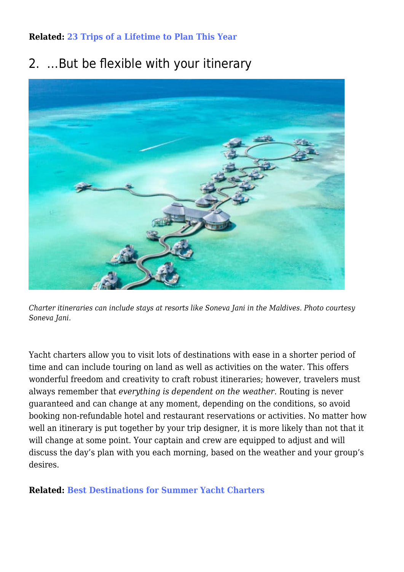#### **Related: [23 Trips of a Lifetime to Plan This Year](https://www.indagare.com/destinations/world/articles/trips-of-a-lifetime)**

### 2. …But be flexible with your itinerary



*Charter itineraries can include stays at resorts like Soneva Jani in the Maldives. Photo courtesy Soneva Jani.*

Yacht charters allow you to visit lots of destinations with ease in a shorter period of time and can include touring on land as well as activities on the water. This offers wonderful freedom and creativity to craft robust itineraries; however, travelers must always remember that *everything is dependent on the weather*. Routing is never guaranteed and can change at any moment, depending on the conditions, so avoid booking non-refundable hotel and restaurant reservations or activities. No matter how well an itinerary is put together by your trip designer, it is more likely than not that it will change at some point. Your captain and crew are equipped to adjust and will discuss the day's plan with you each morning, based on the weather and your group's desires.

#### **Related: [Best Destinations for Summer Yacht Charters](https://www.indagare.com/destinations/world/articles/top-10-yacht-charters)**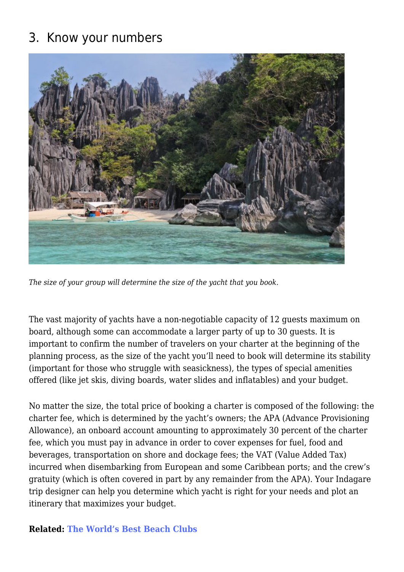### 3. Know your numbers



*The size of your group will determine the size of the yacht that you book.*

The vast majority of yachts have a non-negotiable capacity of 12 guests maximum on board, although some can accommodate a larger party of up to 30 guests. It is important to confirm the number of travelers on your charter at the beginning of the planning process, as the size of the yacht you'll need to book will determine its stability (important for those who struggle with seasickness), the types of special amenities offered (like jet skis, diving boards, water slides and inflatables) and your budget.

No matter the size, the total price of booking a charter is composed of the following: the charter fee, which is determined by the yacht's owners; the APA (Advance Provisioning Allowance), an onboard account amounting to approximately 30 percent of the charter fee, which you must pay in advance in order to cover expenses for fuel, food and beverages, transportation on shore and dockage fees; the VAT (Value Added Tax) incurred when disembarking from European and some Caribbean ports; and the crew's gratuity (which is often covered in part by any remainder from the APA). Your Indagare trip designer can help you determine which yacht is right for your needs and plot an itinerary that maximizes your budget.

#### **Related: [The World's Best Beach Clubs](https://www.indagare.com/destinations/world/articles/top-10-worlds-best-beach-clubs)**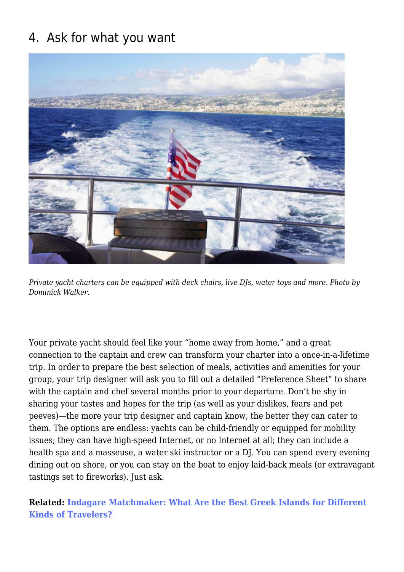#### 4. Ask for what you want



*Private yacht charters can be equipped with deck chairs, live DJs, water toys and more. Photo by Dominick Walker.*

Your private yacht should feel like your "home away from home," and a great connection to the captain and crew can transform your charter into a once-in-a-lifetime trip. In order to prepare the best selection of meals, activities and amenities for your group, your trip designer will ask you to fill out a detailed "Preference Sheet" to share with the captain and chef several months prior to your departure. Don't be shy in sharing your tastes and hopes for the trip (as well as your dislikes, fears and pet peeves)—the more your trip designer and captain know, the better they can cater to them. The options are endless: yachts can be child-friendly or equipped for mobility issues; they can have high-speed Internet, or no Internet at all; they can include a health spa and a masseuse, a water ski instructor or a DJ. You can spend every evening dining out on shore, or you can stay on the boat to enjoy laid-back meals (or extravagant tastings set to fireworks). Just ask.

**Related: [Indagare Matchmaker: What Are the Best Greek Islands for Different](https://www.indagare.com/destinations/europe/greece/crete/articles/best-greek-islands) [Kinds of Travelers?](https://www.indagare.com/destinations/europe/greece/crete/articles/best-greek-islands)**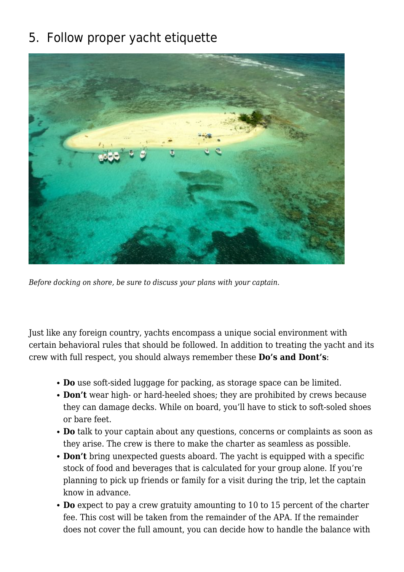### 5. Follow proper yacht etiquette



*Before docking on shore, be sure to discuss your plans with your captain.*

Just like any foreign country, yachts encompass a unique social environment with certain behavioral rules that should be followed. In addition to treating the yacht and its crew with full respect, you should always remember these **Do's and Dont's**:

- **Do** use soft-sided luggage for packing, as storage space can be limited.
- **Don't** wear high- or hard-heeled shoes; they are prohibited by crews because they can damage decks. While on board, you'll have to stick to soft-soled shoes or bare feet.
- **Do** talk to your captain about any questions, concerns or complaints as soon as they arise. The crew is there to make the charter as seamless as possible.
- **Don't** bring unexpected guests aboard. The yacht is equipped with a specific stock of food and beverages that is calculated for your group alone. If you're planning to pick up friends or family for a visit during the trip, let the captain know in advance.
- **Do** expect to pay a crew gratuity amounting to 10 to 15 percent of the charter fee. This cost will be taken from the remainder of the APA. If the remainder does not cover the full amount, you can decide how to handle the balance with